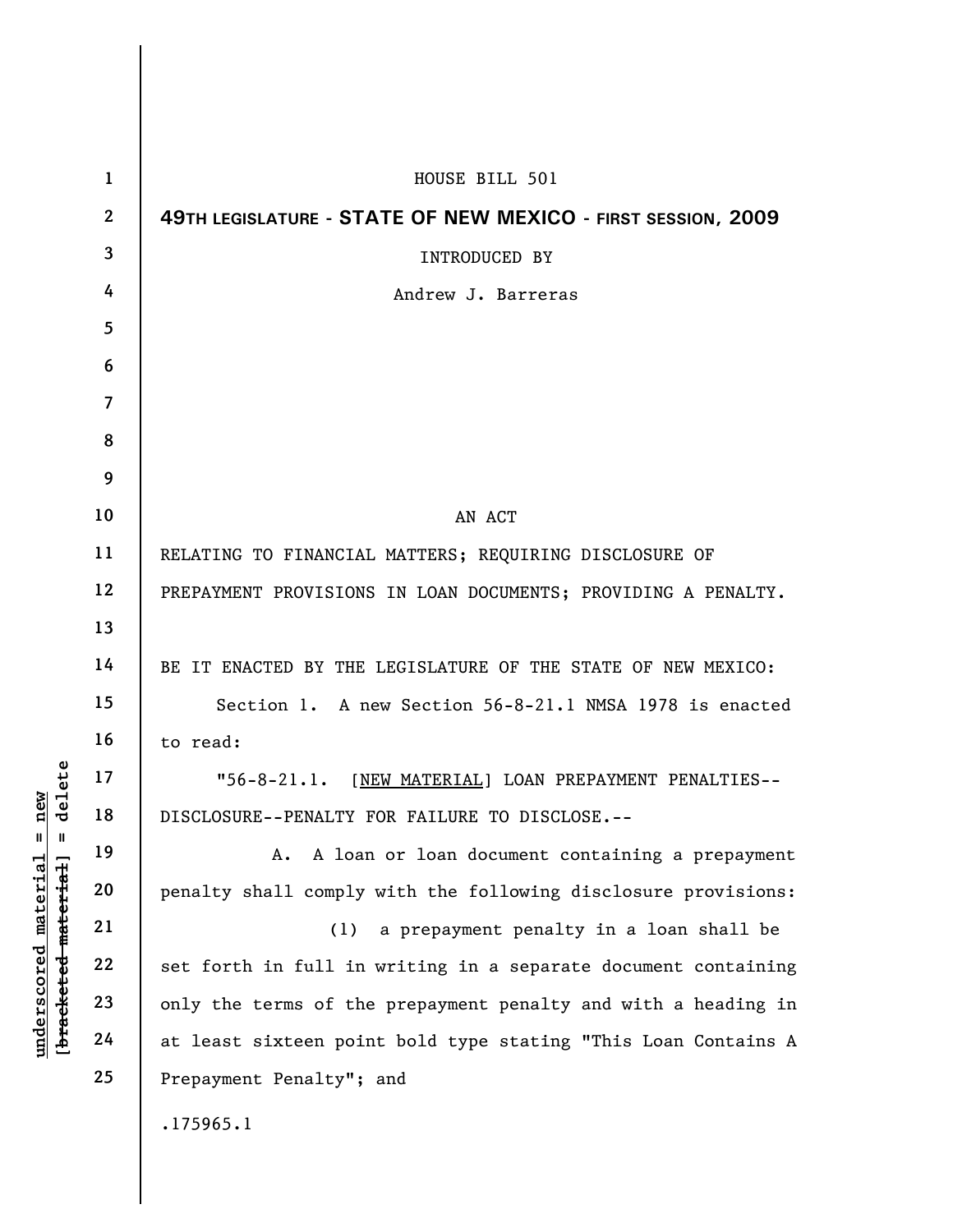| $\mathbf{1}$   | HOUSE BILL 501                                                 |
|----------------|----------------------------------------------------------------|
| $\mathbf{2}$   | 49TH LEGISLATURE - STATE OF NEW MEXICO - FIRST SESSION, 2009   |
| 3              | <b>INTRODUCED BY</b>                                           |
| 4              | Andrew J. Barreras                                             |
| 5              |                                                                |
| 6              |                                                                |
| $\overline{7}$ |                                                                |
| 8              |                                                                |
| 9              |                                                                |
| 10             | AN ACT                                                         |
| 11             | RELATING TO FINANCIAL MATTERS; REQUIRING DISCLOSURE OF         |
| 12             | PREPAYMENT PROVISIONS IN LOAN DOCUMENTS; PROVIDING A PENALTY.  |
| 13             |                                                                |
| 14             | BE IT ENACTED BY THE LEGISLATURE OF THE STATE OF NEW MEXICO:   |
| 15             | Section 1. A new Section 56-8-21.1 NMSA 1978 is enacted        |
| 16             | to read:                                                       |
| 17             | "56-8-21.1. [NEW MATERIAL] LOAN PREPAYMENT PENALTIES--         |
| 18             | DISCLOSURE--PENALTY FOR FAILURE TO DISCLOSE.--                 |
| 19             | A loan or loan document containing a prepayment<br>А.          |
| 20             | penalty shall comply with the following disclosure provisions: |
| 21             | a prepayment penalty in a loan shall be<br>(1)                 |
| 22             | set forth in full in writing in a separate document containing |
| 23             | only the terms of the prepayment penalty and with a heading in |
| 24             | at least sixteen point bold type stating "This Loan Contains A |
| 25             | Prepayment Penalty"; and                                       |
|                | .175965.1                                                      |
|                |                                                                |

[bracketed material] = delete **[bracketed material] = delete**  $underscored material = new$ **underscored material = new**

 $\mathsf I$